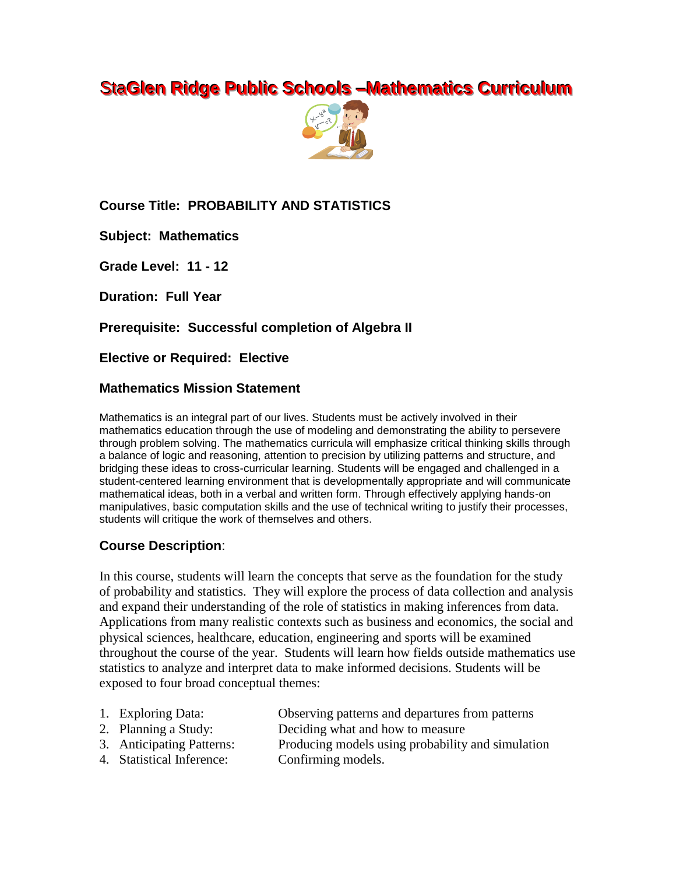# **StaGlen Ridge Public Schools –Mathematics Curriculum**



**Course Title: PROBABILITY AND STATISTICS**

**Subject: Mathematics**

**Grade Level: 11 - 12**

**Duration: Full Year**

**Prerequisite: Successful completion of Algebra II**

**Elective or Required: Elective**

### **Mathematics Mission Statement**

Mathematics is an integral part of our lives. Students must be actively involved in their mathematics education through the use of modeling and demonstrating the ability to persevere through problem solving. The mathematics curricula will emphasize critical thinking skills through a balance of logic and reasoning, attention to precision by utilizing patterns and structure, and bridging these ideas to cross-curricular learning. Students will be engaged and challenged in a student-centered learning environment that is developmentally appropriate and will communicate mathematical ideas, both in a verbal and written form. Through effectively applying hands-on manipulatives, basic computation skills and the use of technical writing to justify their processes, students will critique the work of themselves and others.

## **Course Description**:

In this course, students will learn the concepts that serve as the foundation for the study of probability and statistics. They will explore the process of data collection and analysis and expand their understanding of the role of statistics in making inferences from data. Applications from many realistic contexts such as business and economics, the social and physical sciences, healthcare, education, engineering and sports will be examined throughout the course of the year. Students will learn how fields outside mathematics use statistics to analyze and interpret data to make informed decisions. Students will be exposed to four broad conceptual themes:

| 1. Exploring Data:   | Observing patterns and departures from patterns |
|----------------------|-------------------------------------------------|
| 2. Planning a Study: | Deciding what and how to measure                |

- 3. Anticipating Patterns: Producing models using probability and simulation
- 4. Statistical Inference: Confirming models.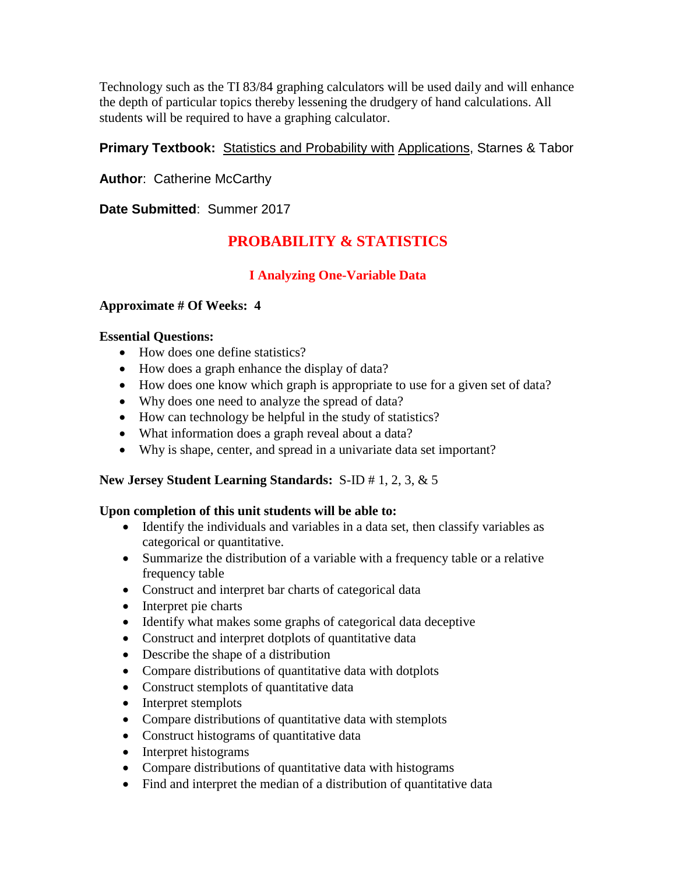Technology such as the TI 83/84 graphing calculators will be used daily and will enhance the depth of particular topics thereby lessening the drudgery of hand calculations. All students will be required to have a graphing calculator.

### **Primary Textbook:** Statistics and Probability with Applications, Starnes & Tabor

**Author**: Catherine McCarthy

**Date Submitted**: Summer 2017

# **PROBABILITY & STATISTICS**

## **I Analyzing One-Variable Data**

### **Approximate # Of Weeks: 4**

### **Essential Questions:**

- How does one define statistics?
- How does a graph enhance the display of data?
- How does one know which graph is appropriate to use for a given set of data?
- Why does one need to analyze the spread of data?
- How can technology be helpful in the study of statistics?
- What information does a graph reveal about a data?
- Why is shape, center, and spread in a univariate data set important?

### **New Jersey Student Learning Standards:** S-ID # 1, 2, 3, & 5

- Identify the individuals and variables in a data set, then classify variables as categorical or quantitative.
- Summarize the distribution of a variable with a frequency table or a relative frequency table
- Construct and interpret bar charts of categorical data
- Interpret pie charts
- Identify what makes some graphs of categorical data deceptive
- Construct and interpret dotplots of quantitative data
- Describe the shape of a distribution
- Compare distributions of quantitative data with dotplots
- Construct stemplots of quantitative data
- Interpret stemplots
- Compare distributions of quantitative data with stemplots
- Construct histograms of quantitative data
- Interpret histograms
- Compare distributions of quantitative data with histograms
- Find and interpret the median of a distribution of quantitative data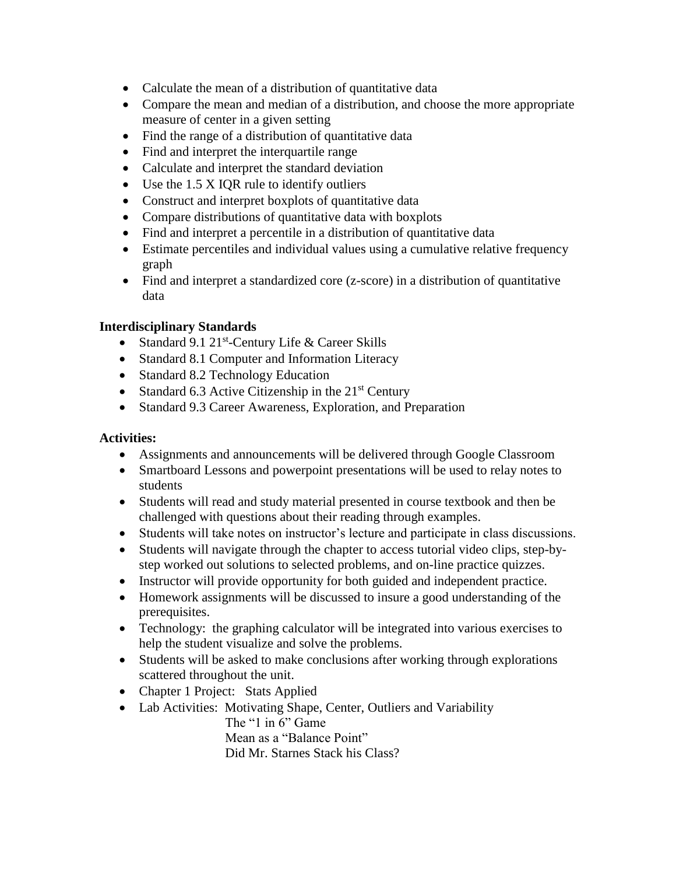- Calculate the mean of a distribution of quantitative data
- Compare the mean and median of a distribution, and choose the more appropriate measure of center in a given setting
- Find the range of a distribution of quantitative data
- Find and interpret the interquartile range
- Calculate and interpret the standard deviation
- $\bullet$  Use the 1.5 X IQR rule to identify outliers
- Construct and interpret boxplots of quantitative data
- Compare distributions of quantitative data with boxplots
- Find and interpret a percentile in a distribution of quantitative data
- Estimate percentiles and individual values using a cumulative relative frequency graph
- Find and interpret a standardized core (z-score) in a distribution of quantitative data

- Standard 9.1  $21^{st}$ -Century Life & Career Skills
- Standard 8.1 Computer and Information Literacy
- Standard 8.2 Technology Education
- Standard 6.3 Active Citizenship in the  $21<sup>st</sup>$  Century
- Standard 9.3 Career Awareness, Exploration, and Preparation

### **Activities:**

- Assignments and announcements will be delivered through Google Classroom
- Smartboard Lessons and powerpoint presentations will be used to relay notes to students
- Students will read and study material presented in course textbook and then be challenged with questions about their reading through examples.
- Students will take notes on instructor's lecture and participate in class discussions.
- Students will navigate through the chapter to access tutorial video clips, step-bystep worked out solutions to selected problems, and on-line practice quizzes.
- Instructor will provide opportunity for both guided and independent practice.
- Homework assignments will be discussed to insure a good understanding of the prerequisites.
- Technology: the graphing calculator will be integrated into various exercises to help the student visualize and solve the problems.
- Students will be asked to make conclusions after working through explorations scattered throughout the unit.
- Chapter 1 Project: Stats Applied
- Lab Activities: Motivating Shape, Center, Outliers and Variability The "1 in 6" Game Mean as a "Balance Point"

Did Mr. Starnes Stack his Class?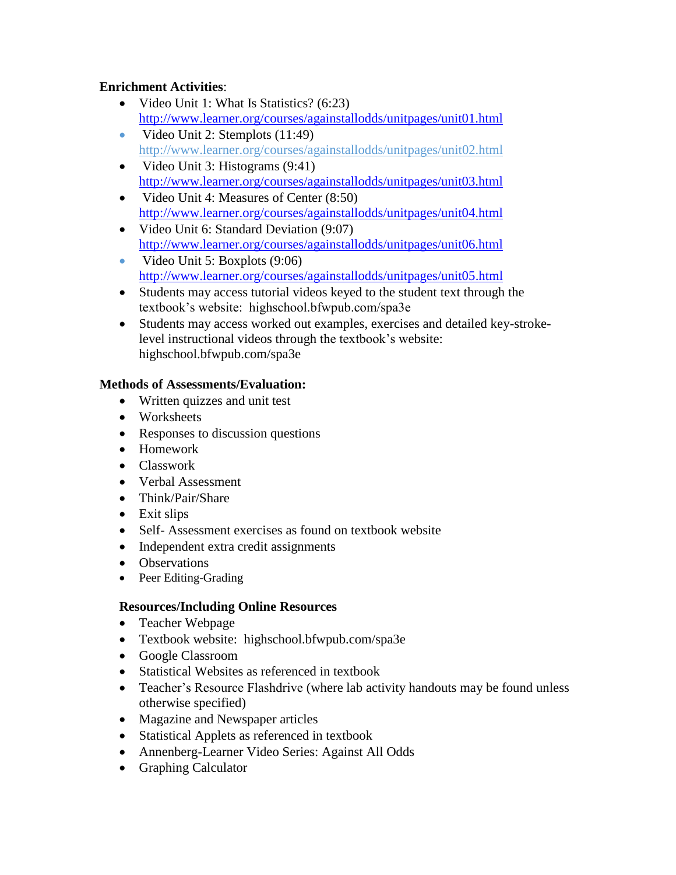### **Enrichment Activities**:

- Video Unit 1: What Is Statistics? (6:23) <http://www.learner.org/courses/againstallodds/unitpages/unit01.html>
- Video Unit 2: Stemplots  $(11:49)$ http://www.learner.org/courses/againstallodds/unitpages/unit02.html
- Video Unit 3: Histograms  $(9:41)$ <http://www.learner.org/courses/againstallodds/unitpages/unit03.html>
- Video Unit 4: Measures of Center (8:50) <http://www.learner.org/courses/againstallodds/unitpages/unit04.html>
- Video Unit 6: Standard Deviation (9:07) <http://www.learner.org/courses/againstallodds/unitpages/unit06.html>
- Video Unit 5: Boxplots  $(9:06)$ <http://www.learner.org/courses/againstallodds/unitpages/unit05.html>
- Students may access tutorial videos keyed to the student text through the textbook's website: highschool.bfwpub.com/spa3e
- Students may access worked out examples, exercises and detailed key-strokelevel instructional videos through the textbook's website: highschool.bfwpub.com/spa3e

## **Methods of Assessments/Evaluation:**

- Written quizzes and unit test
- Worksheets
- Responses to discussion questions
- Homework
- Classwork
- Verbal Assessment
- Think/Pair/Share
- Exit slips
- Self- Assessment exercises as found on textbook website
- Independent extra credit assignments
- Observations
- Peer Editing-Grading

## **Resources/Including Online Resources**

- Teacher Webpage
- Textbook website: highschool.bfwpub.com/spa3e
- Google Classroom
- Statistical Websites as referenced in textbook
- Teacher's Resource Flashdrive (where lab activity handouts may be found unless otherwise specified)
- Magazine and Newspaper articles
- Statistical Applets as referenced in textbook
- Annenberg-Learner Video Series: Against All Odds
- Graphing Calculator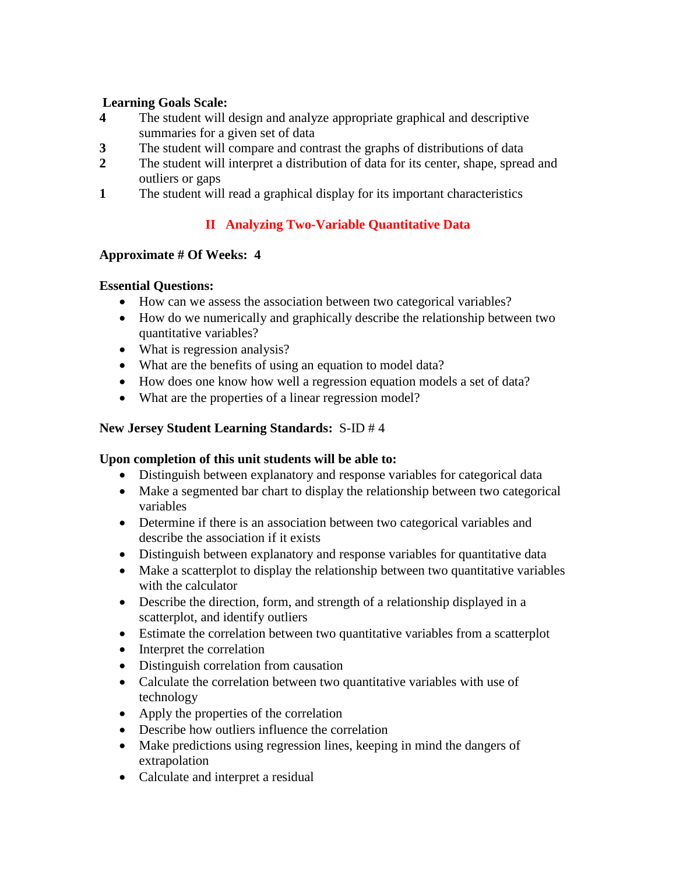#### **Learning Goals Scale:**

- **4** The student will design and analyze appropriate graphical and descriptive summaries for a given set of data
- **3** The student will compare and contrast the graphs of distributions of data
- **2** The student will interpret a distribution of data for its center, shape, spread and outliers or gaps
- **1** The student will read a graphical display for its important characteristics

# **II Analyzing Two-Variable Quantitative Data**

### **Approximate # Of Weeks: 4**

### **Essential Questions:**

- How can we assess the association between two categorical variables?
- How do we numerically and graphically describe the relationship between two quantitative variables?
- What is regression analysis?
- What are the benefits of using an equation to model data?
- How does one know how well a regression equation models a set of data?
- What are the properties of a linear regression model?

### **New Jersey Student Learning Standards:** S-ID # 4

- Distinguish between explanatory and response variables for categorical data
- Make a segmented bar chart to display the relationship between two categorical variables
- Determine if there is an association between two categorical variables and describe the association if it exists
- Distinguish between explanatory and response variables for quantitative data
- Make a scatterplot to display the relationship between two quantitative variables with the calculator
- Describe the direction, form, and strength of a relationship displayed in a scatterplot, and identify outliers
- Estimate the correlation between two quantitative variables from a scatterplot
- Interpret the correlation
- Distinguish correlation from causation
- Calculate the correlation between two quantitative variables with use of technology
- Apply the properties of the correlation
- Describe how outliers influence the correlation
- Make predictions using regression lines, keeping in mind the dangers of extrapolation
- Calculate and interpret a residual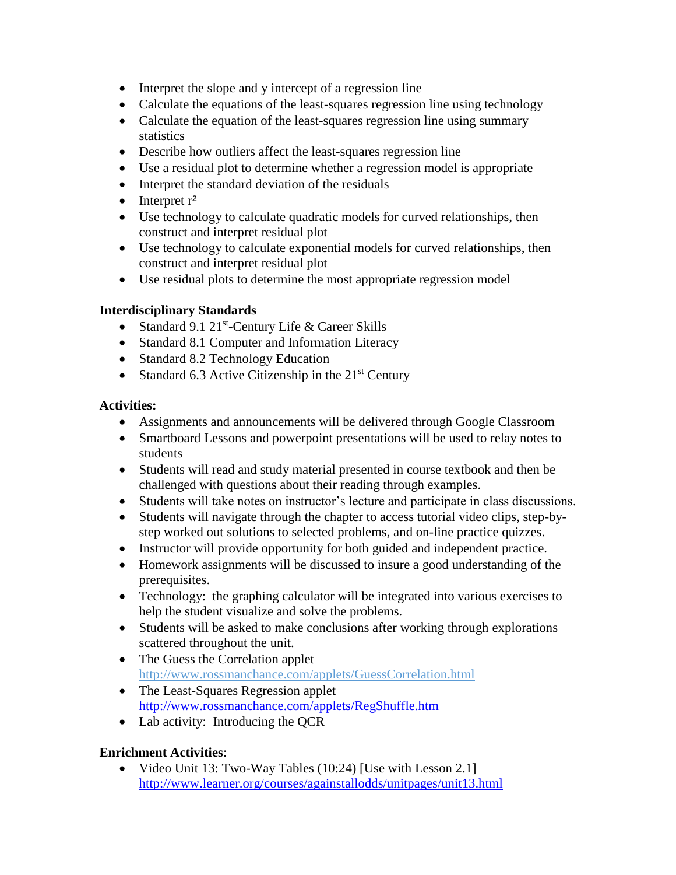- Interpret the slope and y intercept of a regression line
- Calculate the equations of the least-squares regression line using technology
- Calculate the equation of the least-squares regression line using summary **statistics**
- Describe how outliers affect the least-squares regression line
- Use a residual plot to determine whether a regression model is appropriate
- Interpret the standard deviation of the residuals
- $\bullet$  Interpret  $r^2$
- Use technology to calculate quadratic models for curved relationships, then construct and interpret residual plot
- Use technology to calculate exponential models for curved relationships, then construct and interpret residual plot
- Use residual plots to determine the most appropriate regression model

- Standard 9.1  $21^{st}$ -Century Life & Career Skills
- Standard 8.1 Computer and Information Literacy
- Standard 8.2 Technology Education
- Standard 6.3 Active Citizenship in the  $21<sup>st</sup>$  Century

### **Activities:**

- Assignments and announcements will be delivered through Google Classroom
- Smartboard Lessons and powerpoint presentations will be used to relay notes to students
- Students will read and study material presented in course textbook and then be challenged with questions about their reading through examples.
- Students will take notes on instructor's lecture and participate in class discussions.
- Students will navigate through the chapter to access tutorial video clips, step-bystep worked out solutions to selected problems, and on-line practice quizzes.
- Instructor will provide opportunity for both guided and independent practice.
- Homework assignments will be discussed to insure a good understanding of the prerequisites.
- Technology: the graphing calculator will be integrated into various exercises to help the student visualize and solve the problems.
- Students will be asked to make conclusions after working through explorations scattered throughout the unit.
- The Guess the Correlation applet http://www.rossmanchance.com/applets/GuessCorrelation.html
- The Least-Squares Regression applet <http://www.rossmanchance.com/applets/RegShuffle.htm>
- Lab activity: Introducing the QCR

## **Enrichment Activities**:

• Video Unit 13: Two-Way Tables (10:24) [Use with Lesson 2.1] <http://www.learner.org/courses/againstallodds/unitpages/unit13.html>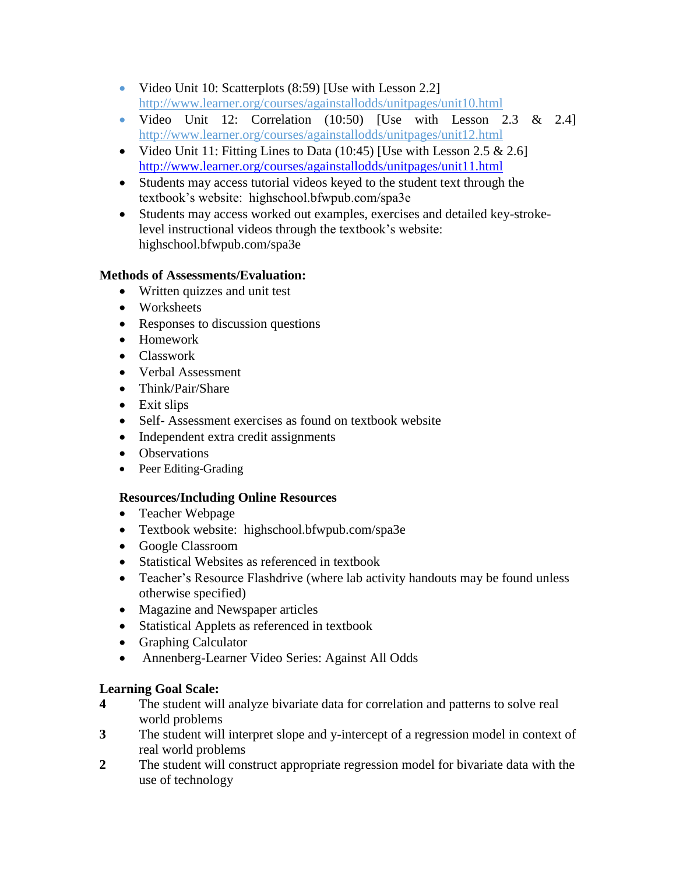- Video Unit 10: Scatterplots (8:59) [Use with Lesson 2.2] http://www.learner.org/courses/againstallodds/unitpages/unit10.html
- Video Unit 12: Correlation  $(10:50)$  [Use with Lesson 2.3 & 2.4] http://www.learner.org/courses/againstallodds/unitpages/unit12.html
- Video Unit 11: Fitting Lines to Data  $(10:45)$  [Use with Lesson 2.5 & 2.6] <http://www.learner.org/courses/againstallodds/unitpages/unit11.html>
- Students may access tutorial videos keyed to the student text through the textbook's website: highschool.bfwpub.com/spa3e
- Students may access worked out examples, exercises and detailed key-strokelevel instructional videos through the textbook's website: highschool.bfwpub.com/spa3e

### **Methods of Assessments/Evaluation:**

- Written quizzes and unit test
- Worksheets
- Responses to discussion questions
- Homework
- Classwork
- Verbal Assessment
- Think/Pair/Share
- Exit slips
- Self- Assessment exercises as found on textbook website
- Independent extra credit assignments
- Observations
- Peer Editing-Grading

### **Resources/Including Online Resources**

- Teacher Webpage
- Textbook website: highschool.bfwpub.com/spa3e
- Google Classroom
- Statistical Websites as referenced in textbook
- Teacher's Resource Flashdrive (where lab activity handouts may be found unless otherwise specified)
- Magazine and Newspaper articles
- Statistical Applets as referenced in textbook
- Graphing Calculator
- Annenberg-Learner Video Series: Against All Odds

### **Learning Goal Scale:**

- **4** The student will analyze bivariate data for correlation and patterns to solve real world problems
- **3** The student will interpret slope and y-intercept of a regression model in context of real world problems
- **2** The student will construct appropriate regression model for bivariate data with the use of technology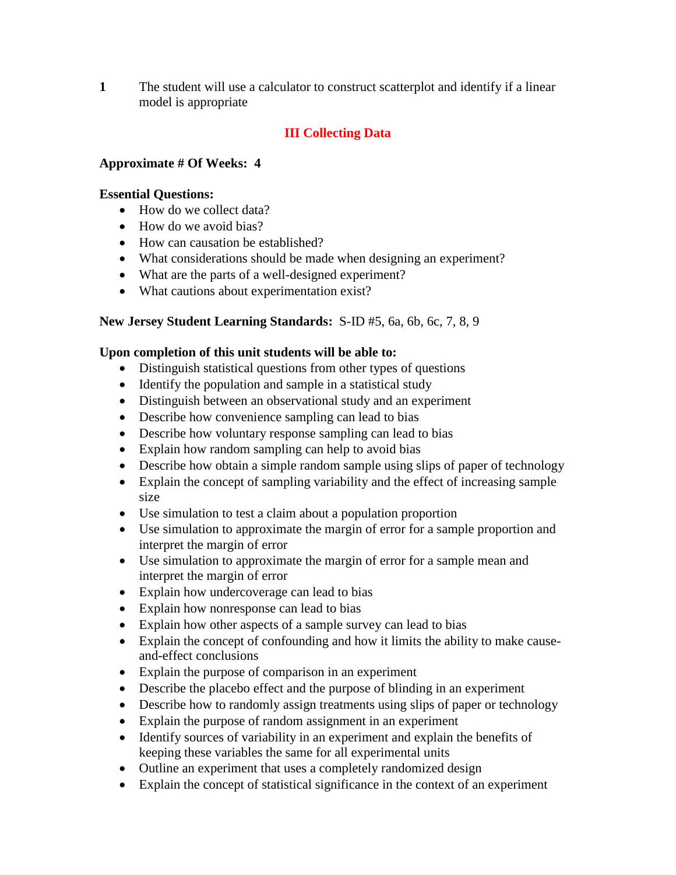**1** The student will use a calculator to construct scatterplot and identify if a linear model is appropriate

### **III Collecting Data**

#### **Approximate # Of Weeks: 4**

#### **Essential Questions:**

- How do we collect data?
- How do we avoid bias?
- How can causation be established?
- What considerations should be made when designing an experiment?
- What are the parts of a well-designed experiment?
- What cautions about experimentation exist?

#### **New Jersey Student Learning Standards:** S-ID #5, 6a, 6b, 6c, 7, 8, 9

- Distinguish statistical questions from other types of questions
- Identify the population and sample in a statistical study
- Distinguish between an observational study and an experiment
- Describe how convenience sampling can lead to bias
- Describe how voluntary response sampling can lead to bias
- Explain how random sampling can help to avoid bias
- Describe how obtain a simple random sample using slips of paper of technology
- Explain the concept of sampling variability and the effect of increasing sample size
- Use simulation to test a claim about a population proportion
- Use simulation to approximate the margin of error for a sample proportion and interpret the margin of error
- Use simulation to approximate the margin of error for a sample mean and interpret the margin of error
- Explain how undercoverage can lead to bias
- Explain how nonresponse can lead to bias
- Explain how other aspects of a sample survey can lead to bias
- Explain the concept of confounding and how it limits the ability to make causeand-effect conclusions
- Explain the purpose of comparison in an experiment
- Describe the placebo effect and the purpose of blinding in an experiment
- Describe how to randomly assign treatments using slips of paper or technology
- Explain the purpose of random assignment in an experiment
- Identify sources of variability in an experiment and explain the benefits of keeping these variables the same for all experimental units
- Outline an experiment that uses a completely randomized design
- Explain the concept of statistical significance in the context of an experiment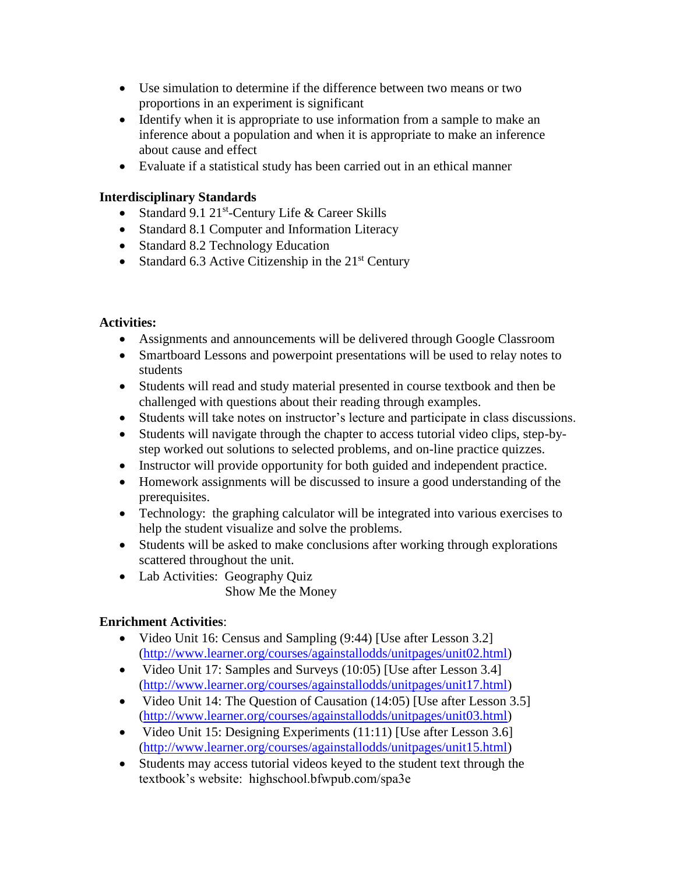- Use simulation to determine if the difference between two means or two proportions in an experiment is significant
- Identify when it is appropriate to use information from a sample to make an inference about a population and when it is appropriate to make an inference about cause and effect
- Evaluate if a statistical study has been carried out in an ethical manner

- Standard 9.1  $21^{st}$ -Century Life & Career Skills
- Standard 8.1 Computer and Information Literacy
- Standard 8.2 Technology Education
- Standard 6.3 Active Citizenship in the  $21<sup>st</sup>$  Century

### **Activities:**

- Assignments and announcements will be delivered through Google Classroom
- Smartboard Lessons and powerpoint presentations will be used to relay notes to students
- Students will read and study material presented in course textbook and then be challenged with questions about their reading through examples.
- Students will take notes on instructor's lecture and participate in class discussions.
- Students will navigate through the chapter to access tutorial video clips, step-bystep worked out solutions to selected problems, and on-line practice quizzes.
- Instructor will provide opportunity for both guided and independent practice.
- Homework assignments will be discussed to insure a good understanding of the prerequisites.
- Technology: the graphing calculator will be integrated into various exercises to help the student visualize and solve the problems.
- Students will be asked to make conclusions after working through explorations scattered throughout the unit.
- Lab Activities: Geography Quiz Show Me the Money

### **Enrichment Activities**:

- Video Unit 16: Census and Sampling (9:44) [Use after Lesson 3.2] [\(http://www.learner.org/courses/againstallodds/unitpages/unit02.html\)](http://www.learner.org/courses/againstallodds/unitpages/unit02.html)
- Video Unit 17: Samples and Surveys (10:05) [Use after Lesson 3.4] [\(http://www.learner.org/courses/againstallodds/unitpages/unit17.html\)](http://www.learner.org/courses/againstallodds/unitpages/unit17.html)
- Video Unit 14: The Question of Causation (14:05) [Use after Lesson 3.5] [\(http://www.learner.org/courses/againstallodds/unitpages/unit03.html\)](http://www.learner.org/courses/againstallodds/unitpages/unit03.html)
- Video Unit 15: Designing Experiments  $(11:11)$  [Use after Lesson 3.6] [\(http://www.learner.org/courses/againstallodds/unitpages/unit15.html\)](http://www.learner.org/courses/againstallodds/unitpages/unit15.html)
- Students may access tutorial videos keyed to the student text through the textbook's website: highschool.bfwpub.com/spa3e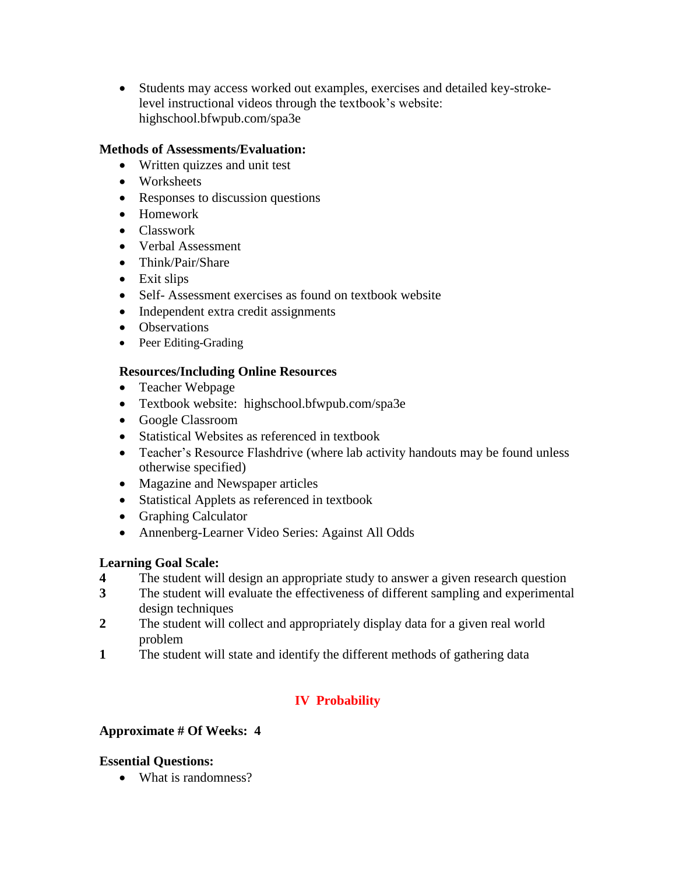Students may access worked out examples, exercises and detailed key-strokelevel instructional videos through the textbook's website: highschool.bfwpub.com/spa3e

#### **Methods of Assessments/Evaluation:**

- Written quizzes and unit test
- Worksheets
- Responses to discussion questions
- Homework
- Classwork
- Verbal Assessment
- Think/Pair/Share
- Exit slips
- Self- Assessment exercises as found on textbook website
- Independent extra credit assignments
- Observations
- Peer Editing-Grading

### **Resources/Including Online Resources**

- Teacher Webpage
- Textbook website: highschool.bfwpub.com/spa3e
- Google Classroom
- Statistical Websites as referenced in textbook
- Teacher's Resource Flashdrive (where lab activity handouts may be found unless otherwise specified)
- Magazine and Newspaper articles
- Statistical Applets as referenced in textbook
- Graphing Calculator
- Annenberg-Learner Video Series: Against All Odds

### **Learning Goal Scale:**

- **4** The student will design an appropriate study to answer a given research question
- **3** The student will evaluate the effectiveness of different sampling and experimental design techniques
- **2** The student will collect and appropriately display data for a given real world problem
- **1** The student will state and identify the different methods of gathering data

## **IV Probability**

### **Approximate # Of Weeks: 4**

### **Essential Questions:**

• What is randomness?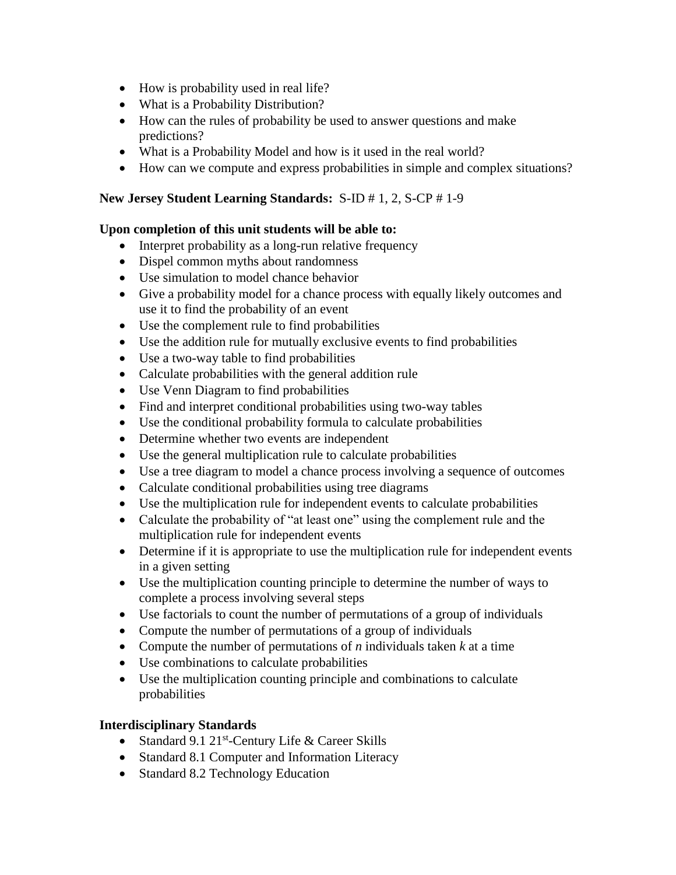- How is probability used in real life?
- What is a Probability Distribution?
- How can the rules of probability be used to answer questions and make predictions?
- What is a Probability Model and how is it used in the real world?
- How can we compute and express probabilities in simple and complex situations?

### **New Jersey Student Learning Standards:** S-ID # 1, 2, S-CP # 1-9

### **Upon completion of this unit students will be able to:**

- Interpret probability as a long-run relative frequency
- Dispel common myths about randomness
- Use simulation to model chance behavior
- Give a probability model for a chance process with equally likely outcomes and use it to find the probability of an event
- Use the complement rule to find probabilities
- Use the addition rule for mutually exclusive events to find probabilities
- Use a two-way table to find probabilities
- Calculate probabilities with the general addition rule
- Use Venn Diagram to find probabilities
- Find and interpret conditional probabilities using two-way tables
- Use the conditional probability formula to calculate probabilities
- Determine whether two events are independent
- Use the general multiplication rule to calculate probabilities
- Use a tree diagram to model a chance process involving a sequence of outcomes
- Calculate conditional probabilities using tree diagrams
- Use the multiplication rule for independent events to calculate probabilities
- Calculate the probability of "at least one" using the complement rule and the multiplication rule for independent events
- Determine if it is appropriate to use the multiplication rule for independent events in a given setting
- Use the multiplication counting principle to determine the number of ways to complete a process involving several steps
- Use factorials to count the number of permutations of a group of individuals
- Compute the number of permutations of a group of individuals
- Compute the number of permutations of  $n$  individuals taken  $k$  at a time
- Use combinations to calculate probabilities
- Use the multiplication counting principle and combinations to calculate probabilities

### **Interdisciplinary Standards**

- Standard 9.1 21<sup>st</sup>-Century Life & Career Skills
- Standard 8.1 Computer and Information Literacy
- Standard 8.2 Technology Education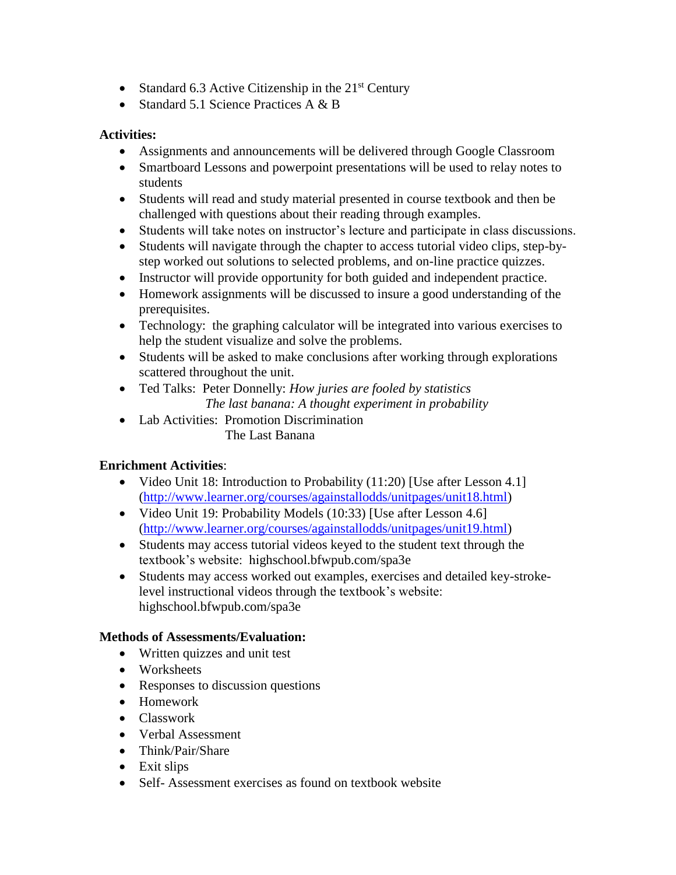- Standard 6.3 Active Citizenship in the  $21<sup>st</sup>$  Century
- Standard 5.1 Science Practices  $A \& B$

### **Activities:**

- Assignments and announcements will be delivered through Google Classroom
- Smartboard Lessons and powerpoint presentations will be used to relay notes to students
- Students will read and study material presented in course textbook and then be challenged with questions about their reading through examples.
- Students will take notes on instructor's lecture and participate in class discussions.
- Students will navigate through the chapter to access tutorial video clips, step-bystep worked out solutions to selected problems, and on-line practice quizzes.
- Instructor will provide opportunity for both guided and independent practice.
- Homework assignments will be discussed to insure a good understanding of the prerequisites.
- Technology: the graphing calculator will be integrated into various exercises to help the student visualize and solve the problems.
- Students will be asked to make conclusions after working through explorations scattered throughout the unit.
- Ted Talks: Peter Donnelly: *How juries are fooled by statistics The last banana: A thought experiment in probability*
- Lab Activities: Promotion Discrimination The Last Banana

## **Enrichment Activities**:

- Video Unit 18: Introduction to Probability (11:20) [Use after Lesson 4.1] [\(http://www.learner.org/courses/againstallodds/unitpages/unit18.html\)](http://www.learner.org/courses/againstallodds/unitpages/unit18.html)
- Video Unit 19: Probability Models (10:33) [Use after Lesson 4.6] [\(http://www.learner.org/courses/againstallodds/unitpages/unit19.html\)](http://www.learner.org/courses/againstallodds/unitpages/unit19.html)
- Students may access tutorial videos keyed to the student text through the textbook's website: highschool.bfwpub.com/spa3e
- Students may access worked out examples, exercises and detailed key-strokelevel instructional videos through the textbook's website: highschool.bfwpub.com/spa3e

### **Methods of Assessments/Evaluation:**

- Written quizzes and unit test
- Worksheets
- Responses to discussion questions
- Homework
- Classwork
- Verbal Assessment
- Think/Pair/Share
- Exit slips
- Self- Assessment exercises as found on textbook website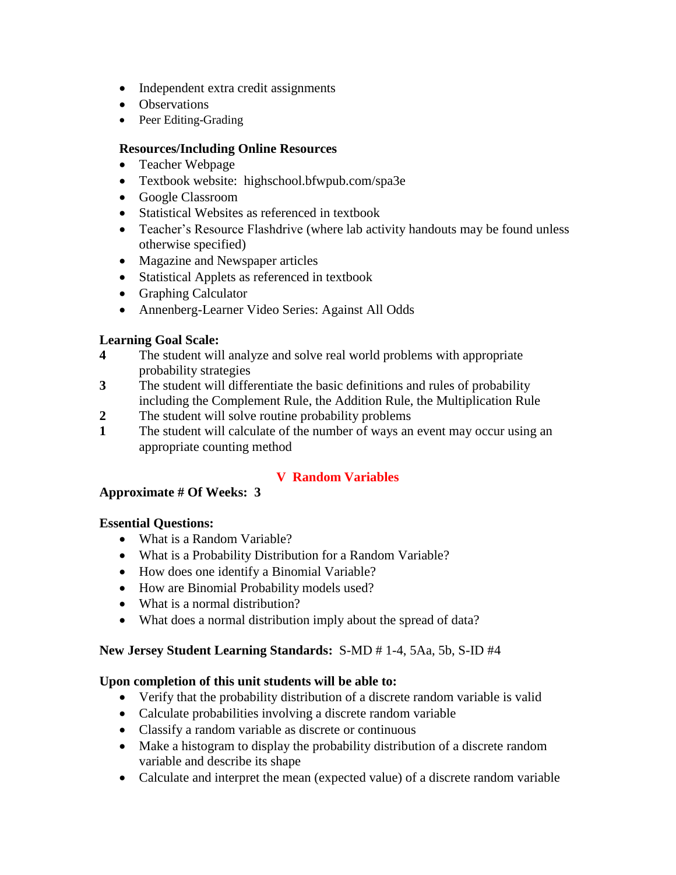- Independent extra credit assignments
- Observations
- Peer Editing-Grading

### **Resources/Including Online Resources**

- Teacher Webpage
- Textbook website: highschool.bfwpub.com/spa3e
- Google Classroom
- Statistical Websites as referenced in textbook
- Teacher's Resource Flashdrive (where lab activity handouts may be found unless otherwise specified)
- Magazine and Newspaper articles
- Statistical Applets as referenced in textbook
- Graphing Calculator
- Annenberg-Learner Video Series: Against All Odds

### **Learning Goal Scale:**

- **4** The student will analyze and solve real world problems with appropriate probability strategies
- **3** The student will differentiate the basic definitions and rules of probability including the Complement Rule, the Addition Rule, the Multiplication Rule
- **2** The student will solve routine probability problems
- **1** The student will calculate of the number of ways an event may occur using an appropriate counting method

## **V Random Variables**

### **Approximate # Of Weeks: 3**

### **Essential Questions:**

- What is a Random Variable?
- What is a Probability Distribution for a Random Variable?
- How does one identify a Binomial Variable?
- How are Binomial Probability models used?
- What is a normal distribution?
- What does a normal distribution imply about the spread of data?

### **New Jersey Student Learning Standards:** S-MD # 1-4, 5Aa, 5b, S-ID #4

- Verify that the probability distribution of a discrete random variable is valid
- Calculate probabilities involving a discrete random variable
- Classify a random variable as discrete or continuous
- Make a histogram to display the probability distribution of a discrete random variable and describe its shape
- Calculate and interpret the mean (expected value) of a discrete random variable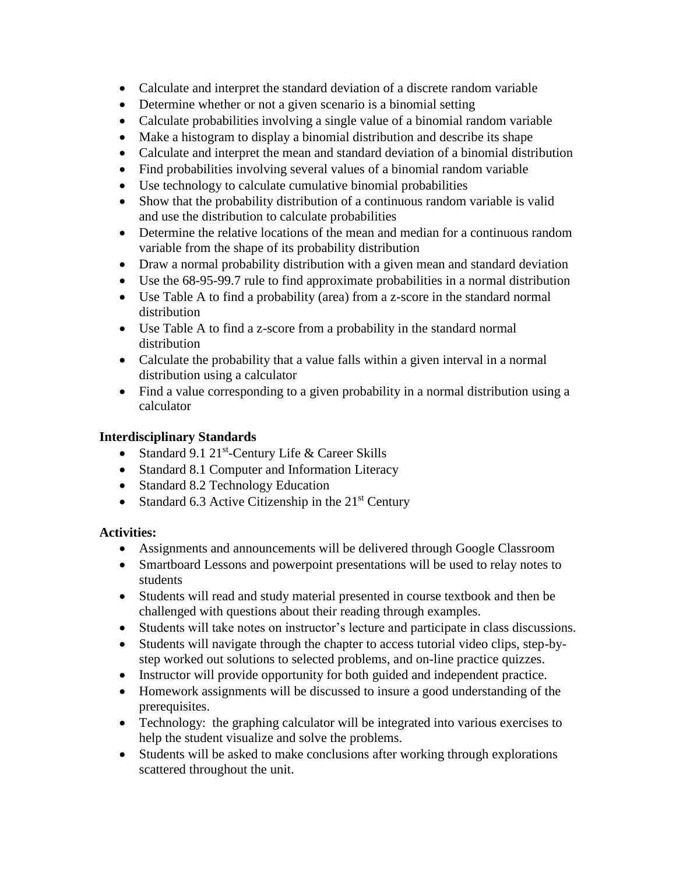- Calculate and interpret the standard deviation of a discrete random variable
- Determine whether or not a given scenario is a binomial setting
- Calculate probabilities involving a single value of a binomial random variable
- Make a histogram to display a binomial distribution and describe its shape
- Calculate and interpret the mean and standard deviation of a binomial distribution
- Find probabilities involving several values of a binomial random variable
- Use technology to calculate cumulative binomial probabilities
- Show that the probability distribution of a continuous random variable is valid and use the distribution to calculate probabilities
- Determine the relative locations of the mean and median for a continuous random variable from the shape of its probability distribution
- Draw a normal probability distribution with a given mean and standard deviation
- Use the 68-95-99.7 rule to find approximate probabilities in a normal distribution
- Use Table A to find a probability (area) from a z-score in the standard normal distribution
- Use Table A to find a z-score from a probability in the standard normal distribution
- Calculate the probability that a value falls within a given interval in a normal distribution using a calculator
- Find a value corresponding to a given probability in a normal distribution using a calculator

- Standard 9.1 21<sup>st</sup>-Century Life & Career Skills
- Standard 8.1 Computer and Information Literacy
- Standard 8.2 Technology Education
- Standard 6.3 Active Citizenship in the  $21<sup>st</sup>$  Century

## **Activities:**

- Assignments and announcements will be delivered through Google Classroom
- Smartboard Lessons and powerpoint presentations will be used to relay notes to students
- Students will read and study material presented in course textbook and then be challenged with questions about their reading through examples.
- Students will take notes on instructor's lecture and participate in class discussions.
- Students will navigate through the chapter to access tutorial video clips, step-bystep worked out solutions to selected problems, and on-line practice quizzes.
- Instructor will provide opportunity for both guided and independent practice.
- Homework assignments will be discussed to insure a good understanding of the prerequisites.
- Technology: the graphing calculator will be integrated into various exercises to help the student visualize and solve the problems.
- Students will be asked to make conclusions after working through explorations scattered throughout the unit.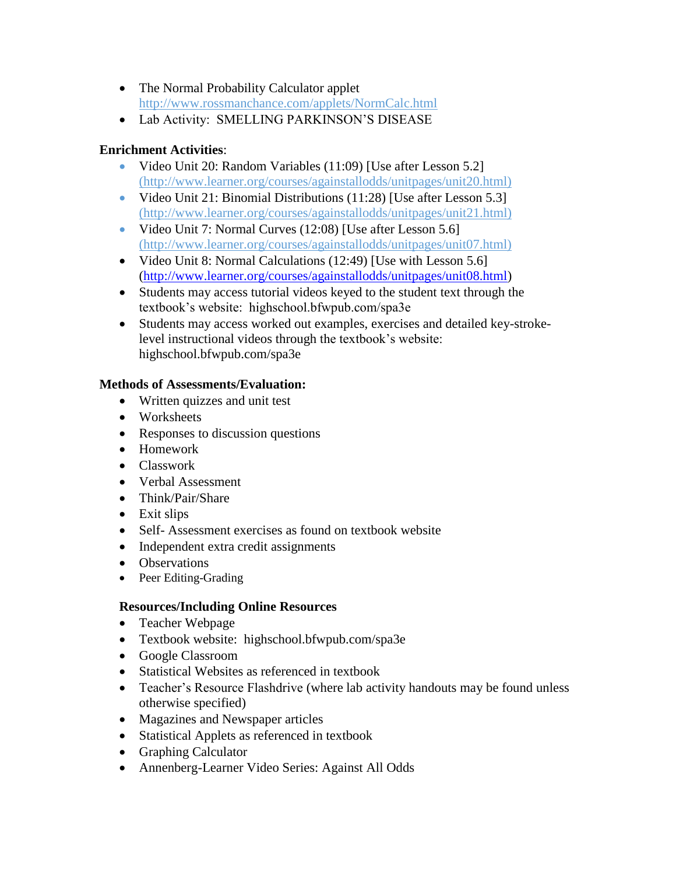- The Normal Probability Calculator applet http://www.rossmanchance.com/applets/NormCalc.html
- Lab Activity: SMELLING PARKINSON'S DISEASE

### **Enrichment Activities**:

- Video Unit 20: Random Variables (11:09) [Use after Lesson 5.2] (http://www.learner.org/courses/againstallodds/unitpages/unit20.html)
- Video Unit 21: Binomial Distributions (11:28) [Use after Lesson 5.3] (http://www.learner.org/courses/againstallodds/unitpages/unit21.html)
- Video Unit 7: Normal Curves (12:08) [Use after Lesson 5.6] (http://www.learner.org/courses/againstallodds/unitpages/unit07.html)
- Video Unit 8: Normal Calculations (12:49) [Use with Lesson 5.6] [\(http://www.learner.org/courses/againstallodds/unitpages/unit08.html\)](http://www.learner.org/courses/againstallodds/unitpages/unit08.html)
- Students may access tutorial videos keyed to the student text through the textbook's website: highschool.bfwpub.com/spa3e
- Students may access worked out examples, exercises and detailed key-strokelevel instructional videos through the textbook's website: highschool.bfwpub.com/spa3e

### **Methods of Assessments/Evaluation:**

- Written quizzes and unit test
- Worksheets
- Responses to discussion questions
- Homework
- Classwork
- Verbal Assessment
- Think/Pair/Share
- Exit slips
- Self- Assessment exercises as found on textbook website
- Independent extra credit assignments
- Observations
- Peer Editing-Grading

## **Resources/Including Online Resources**

- Teacher Webpage
- Textbook website: highschool.bfwpub.com/spa3e
- Google Classroom
- Statistical Websites as referenced in textbook
- Teacher's Resource Flashdrive (where lab activity handouts may be found unless otherwise specified)
- Magazines and Newspaper articles
- Statistical Applets as referenced in textbook
- Graphing Calculator
- Annenberg-Learner Video Series: Against All Odds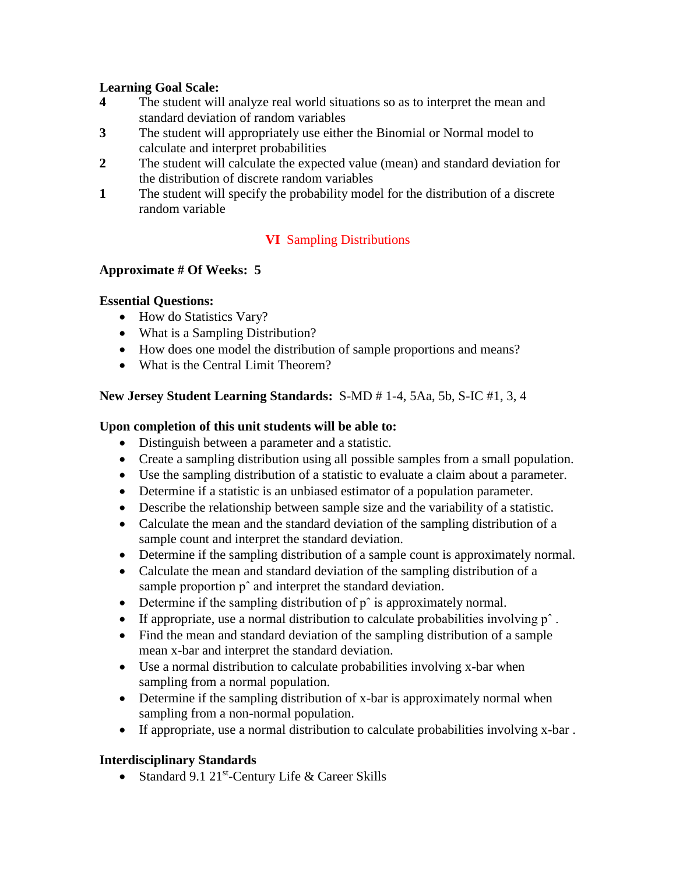### **Learning Goal Scale:**

- **4** The student will analyze real world situations so as to interpret the mean and standard deviation of random variables
- **3** The student will appropriately use either the Binomial or Normal model to calculate and interpret probabilities
- **2** The student will calculate the expected value (mean) and standard deviation for the distribution of discrete random variables
- **1** The student will specify the probability model for the distribution of a discrete random variable

### **VI** Sampling Distributions

#### **Approximate # Of Weeks: 5**

#### **Essential Questions:**

- How do Statistics Vary?
- What is a Sampling Distribution?
- How does one model the distribution of sample proportions and means?
- What is the Central Limit Theorem?

### **New Jersey Student Learning Standards:** S-MD # 1-4, 5Aa, 5b, S-IC #1, 3, 4

### **Upon completion of this unit students will be able to:**

- Distinguish between a parameter and a statistic.
- Create a sampling distribution using all possible samples from a small population.
- Use the sampling distribution of a statistic to evaluate a claim about a parameter.
- Determine if a statistic is an unbiased estimator of a population parameter.
- Describe the relationship between sample size and the variability of a statistic.
- Calculate the mean and the standard deviation of the sampling distribution of a sample count and interpret the standard deviation.
- Determine if the sampling distribution of a sample count is approximately normal.
- Calculate the mean and standard deviation of the sampling distribution of a sample proportion  $p^{\hat{}}$  and interpret the standard deviation.
- Determine if the sampling distribution of  $p^{\wedge}$  is approximately normal.
- If appropriate, use a normal distribution to calculate probabilities involving p<sup>↑</sup>.
- Find the mean and standard deviation of the sampling distribution of a sample mean x-bar and interpret the standard deviation.
- Use a normal distribution to calculate probabilities involving x-bar when sampling from a normal population.
- Determine if the sampling distribution of x-bar is approximately normal when sampling from a non-normal population.
- If appropriate, use a normal distribution to calculate probabilities involving x-bar .

### **Interdisciplinary Standards**

• Standard 9.1 21<sup>st</sup>-Century Life & Career Skills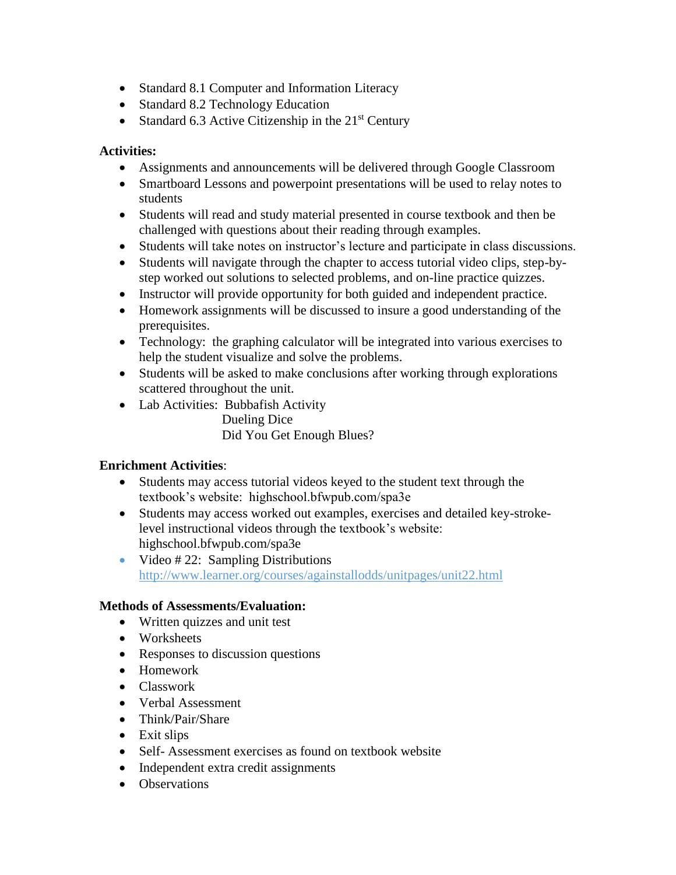- Standard 8.1 Computer and Information Literacy
- Standard 8.2 Technology Education
- Standard 6.3 Active Citizenship in the  $21<sup>st</sup>$  Century

### **Activities:**

- Assignments and announcements will be delivered through Google Classroom
- Smartboard Lessons and powerpoint presentations will be used to relay notes to students
- Students will read and study material presented in course textbook and then be challenged with questions about their reading through examples.
- Students will take notes on instructor's lecture and participate in class discussions.
- Students will navigate through the chapter to access tutorial video clips, step-bystep worked out solutions to selected problems, and on-line practice quizzes.
- Instructor will provide opportunity for both guided and independent practice.
- Homework assignments will be discussed to insure a good understanding of the prerequisites.
- Technology: the graphing calculator will be integrated into various exercises to help the student visualize and solve the problems.
- Students will be asked to make conclusions after working through explorations scattered throughout the unit.
- Lab Activities: Bubbafish Activity

Dueling Dice Did You Get Enough Blues?

### **Enrichment Activities**:

- Students may access tutorial videos keyed to the student text through the textbook's website: highschool.bfwpub.com/spa3e
- Students may access worked out examples, exercises and detailed key-strokelevel instructional videos through the textbook's website: highschool.bfwpub.com/spa3e
- Video  $\#$  22: Sampling Distributions http://www.learner.org/courses/againstallodds/unitpages/unit22.html

#### **Methods of Assessments/Evaluation:**

- Written quizzes and unit test
- Worksheets
- Responses to discussion questions
- Homework
- Classwork
- Verbal Assessment
- Think/Pair/Share
- Exit slips
- Self- Assessment exercises as found on textbook website
- Independent extra credit assignments
- Observations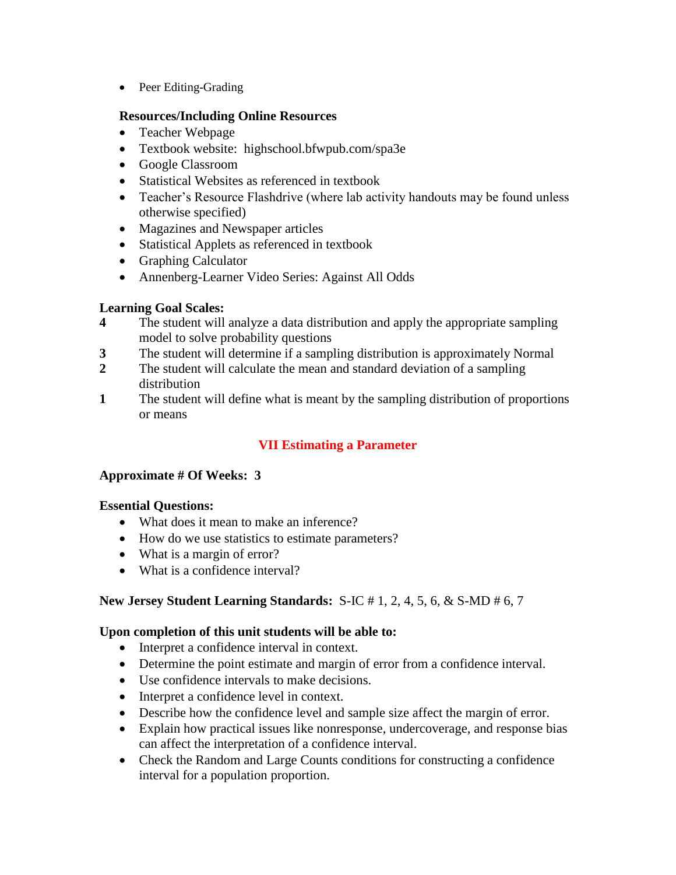• Peer Editing-Grading

#### **Resources/Including Online Resources**

- Teacher Webpage
- Textbook website: highschool.bfwpub.com/spa3e
- Google Classroom
- Statistical Websites as referenced in textbook
- Teacher's Resource Flashdrive (where lab activity handouts may be found unless otherwise specified)
- Magazines and Newspaper articles
- Statistical Applets as referenced in textbook
- Graphing Calculator
- Annenberg-Learner Video Series: Against All Odds

### **Learning Goal Scales:**

- **4** The student will analyze a data distribution and apply the appropriate sampling model to solve probability questions
- **3** The student will determine if a sampling distribution is approximately Normal
- **2** The student will calculate the mean and standard deviation of a sampling distribution
- **1** The student will define what is meant by the sampling distribution of proportions or means

## **VII Estimating a Parameter**

### **Approximate # Of Weeks: 3**

### **Essential Questions:**

- What does it mean to make an inference?
- How do we use statistics to estimate parameters?
- What is a margin of error?
- What is a confidence interval?

### **New Jersey Student Learning Standards:** S-IC # 1, 2, 4, 5, 6, & S-MD # 6, 7

- Interpret a confidence interval in context.
- Determine the point estimate and margin of error from a confidence interval.
- Use confidence intervals to make decisions.
- Interpret a confidence level in context.
- Describe how the confidence level and sample size affect the margin of error.
- Explain how practical issues like nonresponse, undercoverage, and response bias can affect the interpretation of a confidence interval.
- Check the Random and Large Counts conditions for constructing a confidence interval for a population proportion.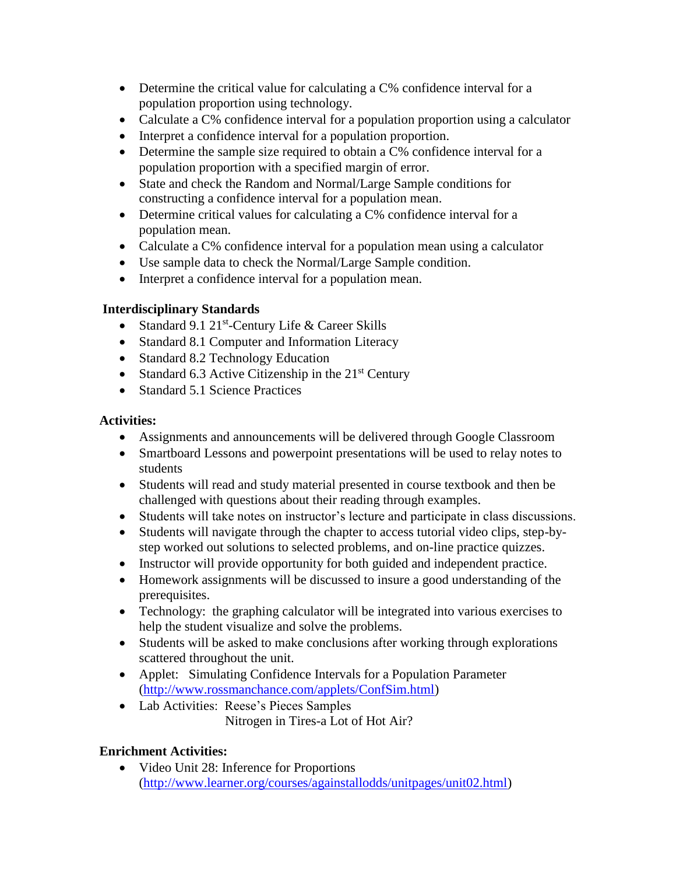- Determine the critical value for calculating a C% confidence interval for a population proportion using technology.
- Calculate a C% confidence interval for a population proportion using a calculator
- Interpret a confidence interval for a population proportion.
- Determine the sample size required to obtain a C% confidence interval for a population proportion with a specified margin of error.
- State and check the Random and Normal/Large Sample conditions for constructing a confidence interval for a population mean.
- Determine critical values for calculating a C% confidence interval for a population mean.
- Calculate a C% confidence interval for a population mean using a calculator
- Use sample data to check the Normal/Large Sample condition.
- Interpret a confidence interval for a population mean.

- Standard 9.1 21<sup>st</sup>-Century Life & Career Skills
- Standard 8.1 Computer and Information Literacy
- Standard 8.2 Technology Education
- Standard 6.3 Active Citizenship in the  $21<sup>st</sup>$  Century
- Standard 5.1 Science Practices

### **Activities:**

- Assignments and announcements will be delivered through Google Classroom
- Smartboard Lessons and powerpoint presentations will be used to relay notes to students
- Students will read and study material presented in course textbook and then be challenged with questions about their reading through examples.
- Students will take notes on instructor's lecture and participate in class discussions.
- Students will navigate through the chapter to access tutorial video clips, step-bystep worked out solutions to selected problems, and on-line practice quizzes.
- Instructor will provide opportunity for both guided and independent practice.
- Homework assignments will be discussed to insure a good understanding of the prerequisites.
- Technology: the graphing calculator will be integrated into various exercises to help the student visualize and solve the problems.
- Students will be asked to make conclusions after working through explorations scattered throughout the unit.
- Applet: Simulating Confidence Intervals for a Population Parameter [\(http://www.rossmanchance.com/applets/ConfSim.html\)](http://www.rossmanchance.com/applets/ConfSim.html)
- Lab Activities: Reese's Pieces Samples Nitrogen in Tires-a Lot of Hot Air?

### **Enrichment Activities:**

• Video Unit 28: Inference for Proportions [\(http://www.learner.org/courses/againstallodds/unitpages/unit02.html\)](http://www.learner.org/courses/againstallodds/unitpages/unit02.html)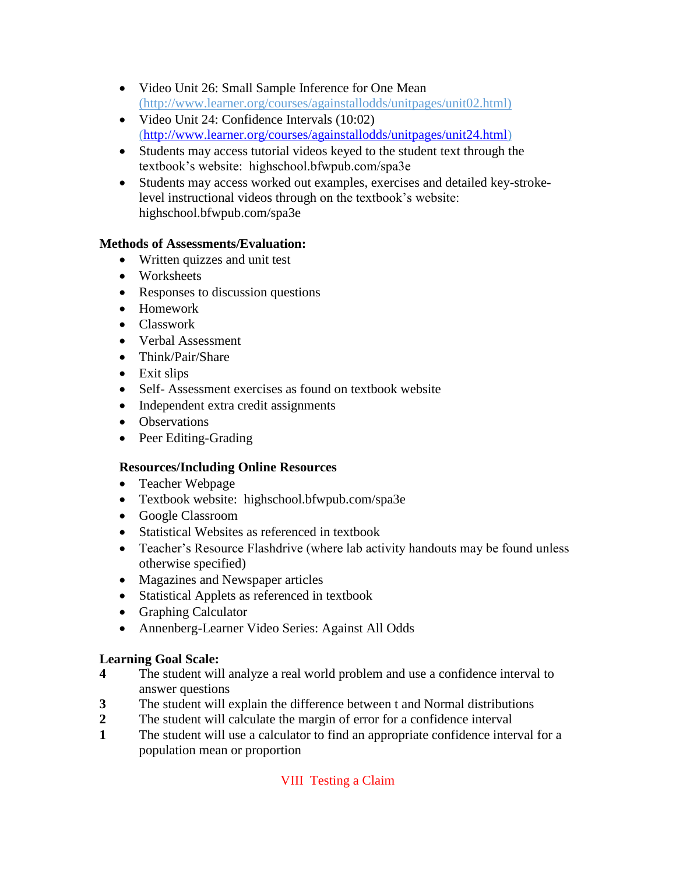- Video Unit 26: Small Sample Inference for One Mean (http://www.learner.org/courses/againstallodds/unitpages/unit02.html)
- Video Unit 24: Confidence Intervals (10:02) [\(http://www.learner.org/courses/againstallodds/unitpages/unit24.html\)](http://www.learner.org/courses/againstallodds/unitpages/unit24.html)
- Students may access tutorial videos keyed to the student text through the textbook's website: highschool.bfwpub.com/spa3e
- Students may access worked out examples, exercises and detailed key-strokelevel instructional videos through on the textbook's website: highschool.bfwpub.com/spa3e

### **Methods of Assessments/Evaluation:**

- Written quizzes and unit test
- Worksheets
- Responses to discussion questions
- Homework
- Classwork
- Verbal Assessment
- Think/Pair/Share
- Exit slips
- Self- Assessment exercises as found on textbook website
- Independent extra credit assignments
- Observations
- Peer Editing-Grading

### **Resources/Including Online Resources**

- Teacher Webpage
- Textbook website: highschool.bfwpub.com/spa3e
- Google Classroom
- Statistical Websites as referenced in textbook
- Teacher's Resource Flashdrive (where lab activity handouts may be found unless otherwise specified)
- Magazines and Newspaper articles
- Statistical Applets as referenced in textbook
- Graphing Calculator
- Annenberg-Learner Video Series: Against All Odds

### **Learning Goal Scale:**

- **4** The student will analyze a real world problem and use a confidence interval to answer questions
- **3** The student will explain the difference between t and Normal distributions
- **2** The student will calculate the margin of error for a confidence interval
- **1** The student will use a calculator to find an appropriate confidence interval for a population mean or proportion

## VIII Testing a Claim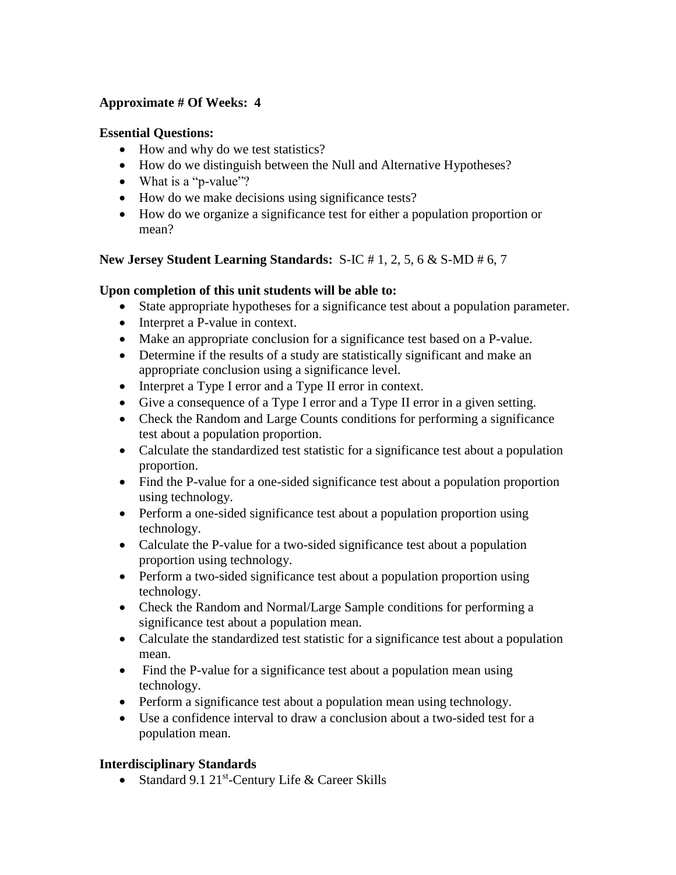### **Approximate # Of Weeks: 4**

#### **Essential Questions:**

- How and why do we test statistics?
- How do we distinguish between the Null and Alternative Hypotheses?
- What is a "p-value"?
- How do we make decisions using significance tests?
- How do we organize a significance test for either a population proportion or mean?

### **New Jersey Student Learning Standards:** S-IC # 1, 2, 5, 6 & S-MD # 6, 7

### **Upon completion of this unit students will be able to:**

- State appropriate hypotheses for a significance test about a population parameter.
- Interpret a P-value in context.
- Make an appropriate conclusion for a significance test based on a P-value.
- Determine if the results of a study are statistically significant and make an appropriate conclusion using a significance level.
- Interpret a Type I error and a Type II error in context.
- Give a consequence of a Type I error and a Type II error in a given setting.
- Check the Random and Large Counts conditions for performing a significance test about a population proportion.
- Calculate the standardized test statistic for a significance test about a population proportion.
- Find the P-value for a one-sided significance test about a population proportion using technology.
- Perform a one-sided significance test about a population proportion using technology.
- Calculate the P-value for a two-sided significance test about a population proportion using technology.
- Perform a two-sided significance test about a population proportion using technology.
- Check the Random and Normal/Large Sample conditions for performing a significance test about a population mean.
- Calculate the standardized test statistic for a significance test about a population mean.
- Find the P-value for a significance test about a population mean using technology.
- Perform a significance test about a population mean using technology.
- Use a confidence interval to draw a conclusion about a two-sided test for a population mean.

### **Interdisciplinary Standards**

• Standard 9.1 21<sup>st</sup>-Century Life & Career Skills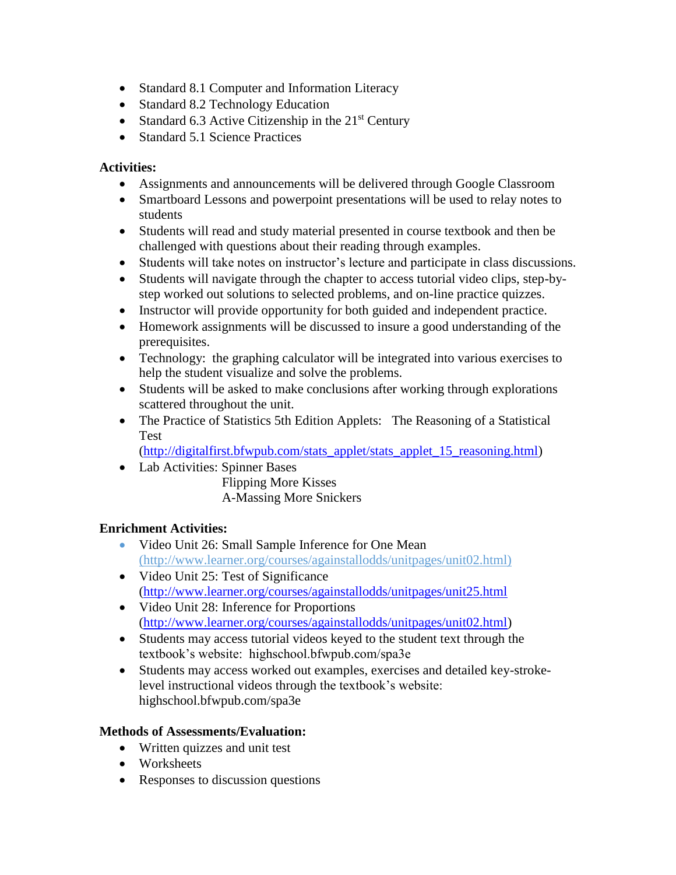- Standard 8.1 Computer and Information Literacy
- Standard 8.2 Technology Education
- Standard 6.3 Active Citizenship in the  $21<sup>st</sup>$  Century
- Standard 5.1 Science Practices

### **Activities:**

- Assignments and announcements will be delivered through Google Classroom
- Smartboard Lessons and powerpoint presentations will be used to relay notes to students
- Students will read and study material presented in course textbook and then be challenged with questions about their reading through examples.
- Students will take notes on instructor's lecture and participate in class discussions.
- Students will navigate through the chapter to access tutorial video clips, step-bystep worked out solutions to selected problems, and on-line practice quizzes.
- Instructor will provide opportunity for both guided and independent practice.
- Homework assignments will be discussed to insure a good understanding of the prerequisites.
- Technology: the graphing calculator will be integrated into various exercises to help the student visualize and solve the problems.
- Students will be asked to make conclusions after working through explorations scattered throughout the unit.
- The Practice of Statistics 5th Edition Applets: The Reasoning of a Statistical Test

[\(http://digitalfirst.bfwpub.com/stats\\_applet/stats\\_applet\\_15\\_reasoning.html\)](http://digitalfirst.bfwpub.com/stats_applet/stats_applet_15_reasoning.html)

Lab Activities: Spinner Bases

Flipping More Kisses A-Massing More Snickers

## **Enrichment Activities:**

- Video Unit 26: Small Sample Inference for One Mean (http://www.learner.org/courses/againstallodds/unitpages/unit02.html)
- Video Unit 25: Test of Significance [\(http://www.learner.org/courses/againstallodds/unitpages/unit25.html](http://www.learner.org/courses/againstallodds/unitpages/unit25.html)
- Video Unit 28: Inference for Proportions [\(http://www.learner.org/courses/againstallodds/unitpages/unit02.html\)](http://www.learner.org/courses/againstallodds/unitpages/unit02.html)
- Students may access tutorial videos keyed to the student text through the textbook's website: highschool.bfwpub.com/spa3e
- Students may access worked out examples, exercises and detailed key-strokelevel instructional videos through the textbook's website: highschool.bfwpub.com/spa3e

### **Methods of Assessments/Evaluation:**

- Written quizzes and unit test
- Worksheets
- Responses to discussion questions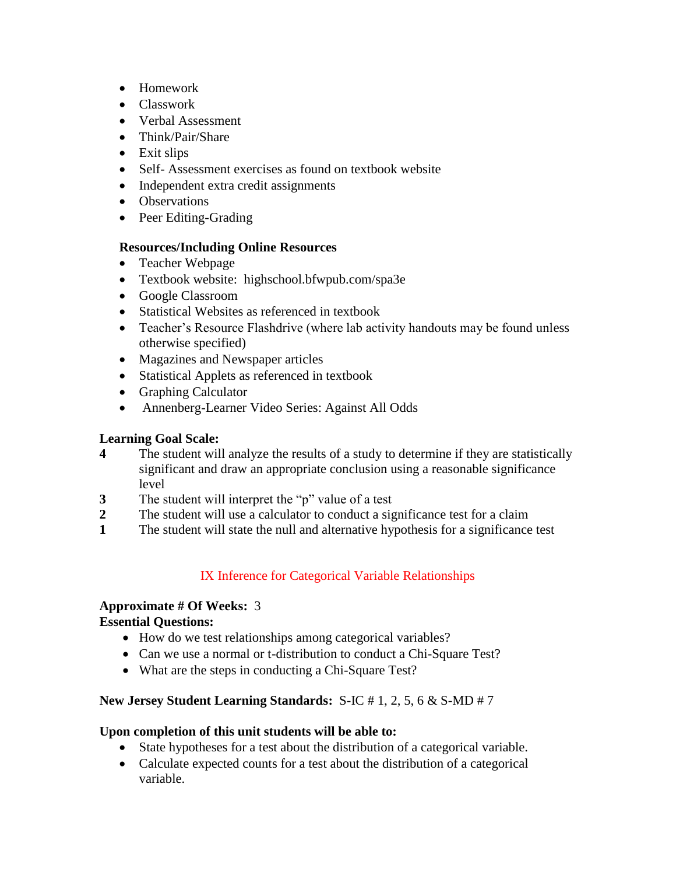- Homework
- Classwork
- Verbal Assessment
- Think/Pair/Share
- Exit slips
- Self- Assessment exercises as found on textbook website
- Independent extra credit assignments
- Observations
- Peer Editing-Grading

### **Resources/Including Online Resources**

- Teacher Webpage
- Textbook website: highschool.bfwpub.com/spa3e
- Google Classroom
- Statistical Websites as referenced in textbook
- Teacher's Resource Flashdrive (where lab activity handouts may be found unless otherwise specified)
- Magazines and Newspaper articles
- Statistical Applets as referenced in textbook
- Graphing Calculator
- Annenberg-Learner Video Series: Against All Odds

### **Learning Goal Scale:**

- **4** The student will analyze the results of a study to determine if they are statistically significant and draw an appropriate conclusion using a reasonable significance level
- **3** The student will interpret the "p" value of a test
- **2** The student will use a calculator to conduct a significance test for a claim
- **1** The student will state the null and alternative hypothesis for a significance test

# IX Inference for Categorical Variable Relationships

#### **Approximate # Of Weeks:** 3 **Essential Questions:**

- How do we test relationships among categorical variables?
- Can we use a normal or t-distribution to conduct a Chi-Square Test?
- What are the steps in conducting a Chi-Square Test?

## **New Jersey Student Learning Standards:** S-IC # 1, 2, 5, 6 & S-MD # 7

- State hypotheses for a test about the distribution of a categorical variable.
- Calculate expected counts for a test about the distribution of a categorical variable.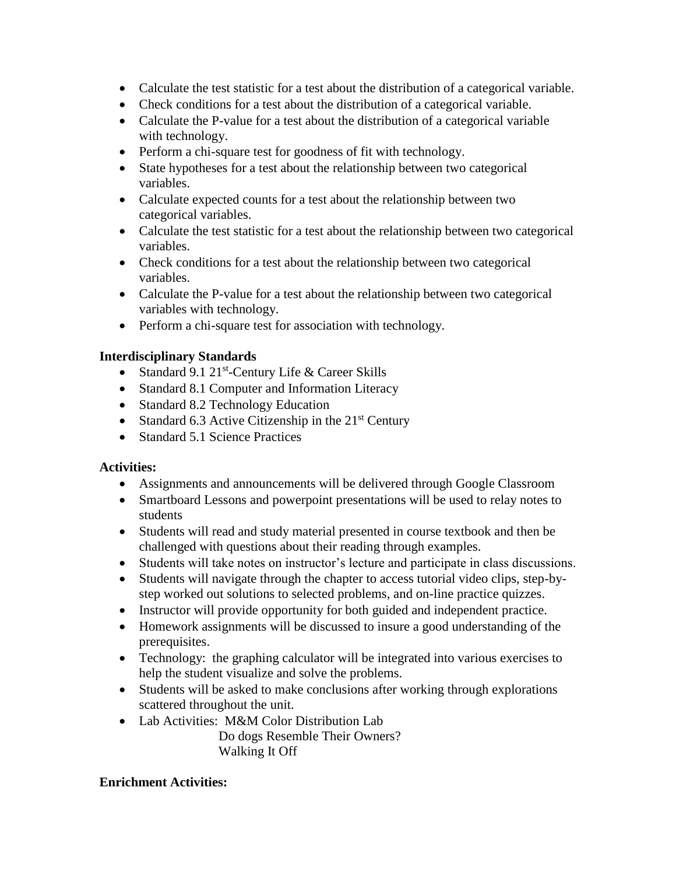- Calculate the test statistic for a test about the distribution of a categorical variable.
- Check conditions for a test about the distribution of a categorical variable.
- Calculate the P-value for a test about the distribution of a categorical variable with technology.
- Perform a chi-square test for goodness of fit with technology.
- State hypotheses for a test about the relationship between two categorical variables.
- Calculate expected counts for a test about the relationship between two categorical variables.
- Calculate the test statistic for a test about the relationship between two categorical variables.
- Check conditions for a test about the relationship between two categorical variables.
- Calculate the P-value for a test about the relationship between two categorical variables with technology.
- Perform a chi-square test for association with technology.

- Standard 9.1 21<sup>st</sup>-Century Life & Career Skills
- Standard 8.1 Computer and Information Literacy
- Standard 8.2 Technology Education
- Standard 6.3 Active Citizenship in the  $21<sup>st</sup>$  Century
- Standard 5.1 Science Practices

### **Activities:**

- Assignments and announcements will be delivered through Google Classroom
- Smartboard Lessons and powerpoint presentations will be used to relay notes to students
- Students will read and study material presented in course textbook and then be challenged with questions about their reading through examples.
- Students will take notes on instructor's lecture and participate in class discussions.
- Students will navigate through the chapter to access tutorial video clips, step-bystep worked out solutions to selected problems, and on-line practice quizzes.
- Instructor will provide opportunity for both guided and independent practice.
- Homework assignments will be discussed to insure a good understanding of the prerequisites.
- Technology: the graphing calculator will be integrated into various exercises to help the student visualize and solve the problems.
- Students will be asked to make conclusions after working through explorations scattered throughout the unit.
- Lab Activities: M&M Color Distribution Lab

Do dogs Resemble Their Owners? Walking It Off

#### **Enrichment Activities:**